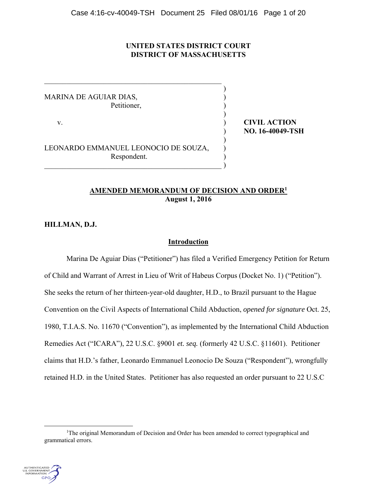## **UNITED STATES DISTRICT COURT DISTRICT OF MASSACHUSETTS**

)

)

)

MARINA DE AGUIAR DIAS, ) Petitioner,

LEONARDO EMMANUEL LEONOCIO DE SOUZA, Respondent. )

 $\overline{\phantom{a}}$ 

v. **CIVIL ACTION** ) **NO. 16-40049-TSH**

# **AMENDED MEMORANDUM OF DECISION AND ORDER1 August 1, 2016**

**HILLMAN, D.J.** 

# **Introduction**

 Marina De Aguiar Dias ("Petitioner") has filed a Verified Emergency Petition for Return of Child and Warrant of Arrest in Lieu of Writ of Habeus Corpus (Docket No. 1) ("Petition"). She seeks the return of her thirteen-year-old daughter, H.D., to Brazil pursuant to the Hague Convention on the Civil Aspects of International Child Abduction, *opened for signature* Oct. 25, 1980, T.I.A.S. No. 11670 ("Convention"), as implemented by the International Child Abduction Remedies Act ("ICARA"), 22 U.S.C. §9001 *et. seq.* (formerly 42 U.S.C. §11601). Petitioner claims that H.D.'s father, Leonardo Emmanuel Leonocio De Souza ("Respondent"), wrongfully retained H.D. in the United States. Petitioner has also requested an order pursuant to 22 U.S.C

<sup>&</sup>lt;u>1</u> <sup>1</sup>The original Memorandum of Decision and Order has been amended to correct typographical and grammatical errors.

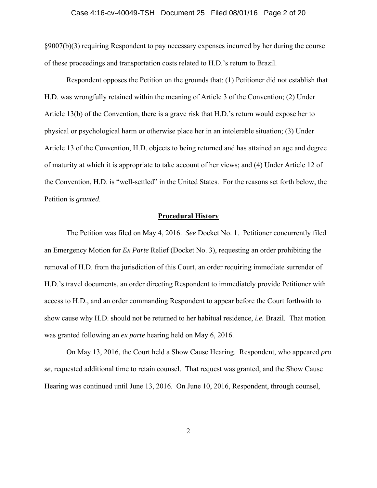#### Case 4:16-cv-40049-TSH Document 25 Filed 08/01/16 Page 2 of 20

§9007(b)(3) requiring Respondent to pay necessary expenses incurred by her during the course of these proceedings and transportation costs related to H.D.'s return to Brazil.

Respondent opposes the Petition on the grounds that: (1) Petitioner did not establish that H.D. was wrongfully retained within the meaning of Article 3 of the Convention; (2) Under Article 13(b) of the Convention, there is a grave risk that H.D.'s return would expose her to physical or psychological harm or otherwise place her in an intolerable situation; (3) Under Article 13 of the Convention, H.D. objects to being returned and has attained an age and degree of maturity at which it is appropriate to take account of her views; and (4) Under Article 12 of the Convention, H.D. is "well-settled" in the United States. For the reasons set forth below, the Petition is *granted*.

## **Procedural History**

The Petition was filed on May 4, 2016. *See* Docket No. 1. Petitioner concurrently filed an Emergency Motion for *Ex Parte* Relief (Docket No. 3), requesting an order prohibiting the removal of H.D. from the jurisdiction of this Court, an order requiring immediate surrender of H.D.'s travel documents, an order directing Respondent to immediately provide Petitioner with access to H.D., and an order commanding Respondent to appear before the Court forthwith to show cause why H.D. should not be returned to her habitual residence, *i.e.* Brazil. That motion was granted following an *ex parte* hearing held on May 6, 2016.

On May 13, 2016, the Court held a Show Cause Hearing. Respondent, who appeared *pro se*, requested additional time to retain counsel. That request was granted, and the Show Cause Hearing was continued until June 13, 2016. On June 10, 2016, Respondent, through counsel,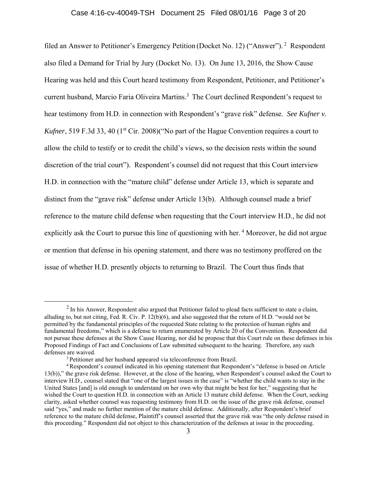### Case 4:16-cv-40049-TSH Document 25 Filed 08/01/16 Page 3 of 20

filed an Answer to Petitioner's Emergency Petition (Docket No. 12) ("Answer"). 2 Respondent also filed a Demand for Trial by Jury (Docket No. 13). On June 13, 2016, the Show Cause Hearing was held and this Court heard testimony from Respondent, Petitioner, and Petitioner's current husband, Marcio Faria Oliveira Martins.<sup>3</sup> The Court declined Respondent's request to hear testimony from H.D. in connection with Respondent's "grave risk" defense. *See Kufner v. Kufner*, 519 F.3d 33, 40 (1<sup>st</sup> Cir. 2008)("No part of the Hague Convention requires a court to allow the child to testify or to credit the child's views, so the decision rests within the sound discretion of the trial court"). Respondent's counsel did not request that this Court interview H.D. in connection with the "mature child" defense under Article 13, which is separate and distinct from the "grave risk" defense under Article 13(b). Although counsel made a brief reference to the mature child defense when requesting that the Court interview H.D., he did not explicitly ask the Court to pursue this line of questioning with her.<sup>4</sup> Moreover, he did not argue or mention that defense in his opening statement, and there was no testimony proffered on the issue of whether H.D. presently objects to returning to Brazil. The Court thus finds that

 $<sup>2</sup>$  In his Answer, Respondent also argued that Petitioner failed to plead facts sufficient to state a claim,</sup> alluding to, but not citing, Fed. R. Civ. P. 12(b)(6), and also suggested that the return of H.D. "would not be permitted by the fundamental principles of the requested State relating to the protection of human rights and fundamental freedoms," which is a defense to return enumerated by Article 20 of the Convention. Respondent did not pursue these defenses at the Show Cause Hearing, nor did he propose that this Court rule on these defenses in his Proposed Findings of Fact and Conclusions of Law submitted subsequent to the hearing. Therefore, any such

 $\alpha$ <sup>3</sup> Petitioner and her husband appeared via teleconference from Brazil.<br><sup>4</sup> Respondent's counsel indicated in his opening statement that Respondent's "defense is based on Article" 13(b))," the grave risk defense. However, at the close of the hearing, when Respondent's counsel asked the Court to interview H.D., counsel stated that "one of the largest issues in the case" is "whether the child wants to stay in the United States [and] is old enough to understand on her own why that might be best for her," suggesting that he wished the Court to question H.D. in connection with an Article 13 mature child defense. When the Court, seeking clarity, asked whether counsel was requesting testimony from H.D. on the issue of the grave risk defense, counsel said "yes," and made no further mention of the mature child defense. Additionally, after Respondent's brief reference to the mature child defense, Plaintiff's counsel asserted that the grave risk was "the only defense raised in this proceeding." Respondent did not object to this characterization of the defenses at issue in the proceeding.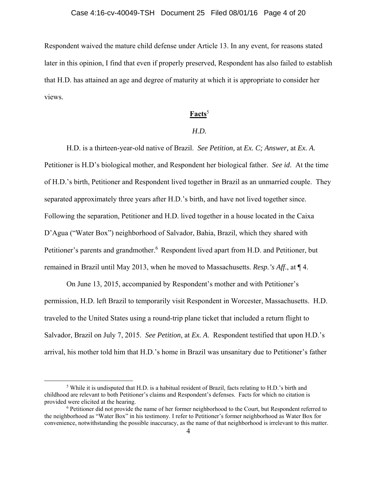Respondent waived the mature child defense under Article 13. In any event, for reasons stated later in this opinion, I find that even if properly preserved, Respondent has also failed to establish that H.D. has attained an age and degree of maturity at which it is appropriate to consider her views.

## **Facts**<sup>5</sup>

#### *H.D.*

H.D. is a thirteen-year-old native of Brazil. *See Petition,* at *Ex. C; Answer,* at *Ex. A.*  Petitioner is H.D's biological mother, and Respondent her biological father. *See id*. At the time of H.D.'s birth, Petitioner and Respondent lived together in Brazil as an unmarried couple. They separated approximately three years after H.D.'s birth, and have not lived together since. Following the separation, Petitioner and H.D. lived together in a house located in the Caixa D'Agua ("Water Box") neighborhood of Salvador, Bahia, Brazil, which they shared with Petitioner's parents and grandmother.<sup>6</sup> Respondent lived apart from H.D. and Petitioner, but remained in Brazil until May 2013, when he moved to Massachusetts. *Resp.'s Aff*., at ¶ 4.

On June 13, 2015, accompanied by Respondent's mother and with Petitioner's permission, H.D. left Brazil to temporarily visit Respondent in Worcester, Massachusetts. H.D. traveled to the United States using a round-trip plane ticket that included a return flight to Salvador, Brazil on July 7, 2015. *See Petition,* at *Ex. A*. Respondent testified that upon H.D.'s arrival, his mother told him that H.D.'s home in Brazil was unsanitary due to Petitioner's father

 $rac{1}{5}$  While it is undisputed that H.D. is a habitual resident of Brazil, facts relating to H.D.'s birth and childhood are relevant to both Petitioner's claims and Respondent's defenses. Facts for which no citation is provided were elicited at the hearing.

<sup>&</sup>lt;sup>6</sup> Petitioner did not provide the name of her former neighborhood to the Court, but Respondent referred to the neighborhood as "Water Box" in his testimony. I refer to Petitioner's former neighborhood as Water Box for convenience, notwithstanding the possible inaccuracy, as the name of that neighborhood is irrelevant to this matter.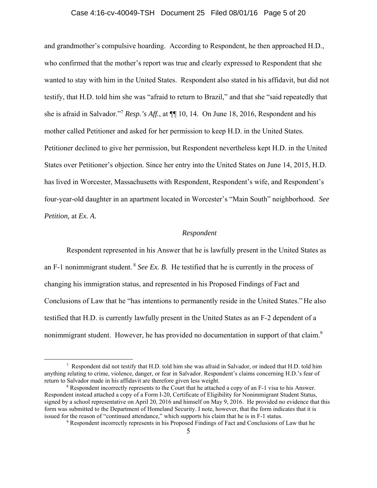#### Case 4:16-cv-40049-TSH Document 25 Filed 08/01/16 Page 5 of 20

and grandmother's compulsive hoarding. According to Respondent, he then approached H.D., who confirmed that the mother's report was true and clearly expressed to Respondent that she wanted to stay with him in the United States. Respondent also stated in his affidavit, but did not testify, that H.D. told him she was "afraid to return to Brazil," and that she "said repeatedly that she is afraid in Salvador."7 *Resp.'s Aff.*, at ¶¶ 10, 14. On June 18, 2016, Respondent and his mother called Petitioner and asked for her permission to keep H.D. in the United States. Petitioner declined to give her permission, but Respondent nevertheless kept H.D. in the United States over Petitioner's objection. Since her entry into the United States on June 14, 2015, H.D. has lived in Worcester, Massachusetts with Respondent, Respondent's wife, and Respondent's four-year-old daughter in an apartment located in Worcester's "Main South" neighborhood. *See Petition,* at *Ex. A.*

### *Respondent*

Respondent represented in his Answer that he is lawfully present in the United States as an F-1 nonimmigrant student. 8 *See Ex. B.* He testified that he is currently in the process of changing his immigration status, and represented in his Proposed Findings of Fact and Conclusions of Law that he "has intentions to permanently reside in the United States." He also testified that H.D. is currently lawfully present in the United States as an F-2 dependent of a nonimmigrant student. However, he has provided no documentation in support of that claim.<sup>9</sup>

 $\overline{\phantom{a}}$  $\frac{7}{10}$  Respondent did not testify that H.D. told him she was afraid in Salvador, or indeed that H.D. told him anything relating to crime, violence, danger, or fear in Salvador. Respondent's claims concerning H.D.'s fear of return to Salvador made in his affidavit are therefore given less weight.

<sup>&</sup>lt;sup>8</sup> Respondent incorrectly represents to the Court that he attached a copy of an F-1 visa to his Answer. Respondent instead attached a copy of a Form I-20, Certificate of Eligibility for Nonimmigrant Student Status, signed by a school representative on April 20, 2016 and himself on May 9, 2016. He provided no evidence that this form was submitted to the Department of Homeland Security. I note, however, that the form indicates that it is issued for the reason of "continued attendance," which supports his claim that he is in F-1 status.

<sup>&</sup>lt;sup>9</sup> Respondent incorrectly represents in his Proposed Findings of Fact and Conclusions of Law that he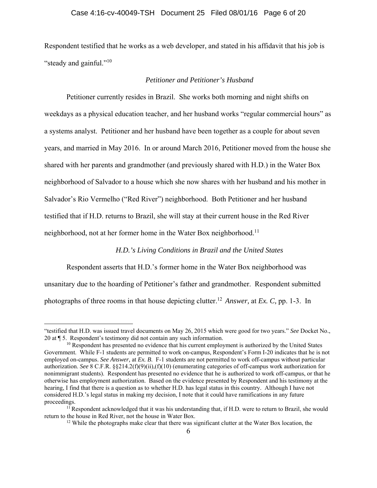Respondent testified that he works as a web developer, and stated in his affidavit that his job is "steady and gainful."<sup>10</sup>

### *Petitioner and Petitioner's Husband*

Petitioner currently resides in Brazil. She works both morning and night shifts on weekdays as a physical education teacher, and her husband works "regular commercial hours" as a systems analyst. Petitioner and her husband have been together as a couple for about seven years, and married in May 2016. In or around March 2016, Petitioner moved from the house she shared with her parents and grandmother (and previously shared with H.D.) in the Water Box neighborhood of Salvador to a house which she now shares with her husband and his mother in Salvador's Rio Vermelho ("Red River") neighborhood. Both Petitioner and her husband testified that if H.D. returns to Brazil, she will stay at their current house in the Red River neighborhood, not at her former home in the Water Box neighborhood.<sup>11</sup>

#### *H.D.'s Living Conditions in Brazil and the United States*

Respondent asserts that H.D.'s former home in the Water Box neighborhood was unsanitary due to the hoarding of Petitioner's father and grandmother. Respondent submitted photographs of three rooms in that house depicting clutter.12 *Answer,* at *Ex. C,* pp. 1-3. In

 $\overline{a}$ 

<sup>&</sup>quot;testified that H.D. was issued travel documents on May 26, 2015 which were good for two years." *See* Docket No., 20 at ¶ 5. Respondent's testimony did not contain any such information.

 $10$  Respondent has presented no evidence that his current employment is authorized by the United States Government. While F-1 students are permitted to work on-campus, Respondent's Form I-20 indicates that he is not employed on-campus. *See Answer*, at *Ex. B*. F-1 students are not permitted to work off-campus without particular authorization. *See* 8 C.F.R. §§214.2(f)(9)(ii),(f)(10) (enumerating categories of off-campus work authorization for nonimmigrant students). Respondent has presented no evidence that he is authorized to work off-campus, or that he otherwise has employment authorization. Based on the evidence presented by Respondent and his testimony at the hearing, I find that there is a question as to whether H.D. has legal status in this country. Although I have not considered H.D.'s legal status in making my decision, I note that it could have ramifications in any future proceedings.<br><sup>11</sup> Respondent acknowledged that it was his understanding that, if H.D. were to return to Brazil, she would

return to the house in Red River, not the house in Water Box. 12 While the photographs make clear that there was significant clutter at the Water Box location, the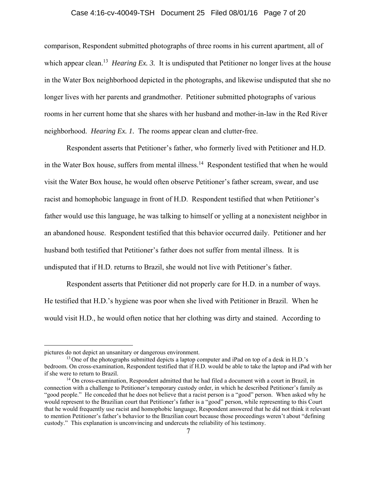### Case 4:16-cv-40049-TSH Document 25 Filed 08/01/16 Page 7 of 20

comparison, Respondent submitted photographs of three rooms in his current apartment, all of which appear clean.<sup>13</sup> *Hearing Ex. 3.* It is undisputed that Petitioner no longer lives at the house in the Water Box neighborhood depicted in the photographs, and likewise undisputed that she no longer lives with her parents and grandmother. Petitioner submitted photographs of various rooms in her current home that she shares with her husband and mother-in-law in the Red River neighborhood. *Hearing Ex. 1.* The rooms appear clean and clutter-free.

Respondent asserts that Petitioner's father, who formerly lived with Petitioner and H.D. in the Water Box house, suffers from mental illness.<sup>14</sup> Respondent testified that when he would visit the Water Box house, he would often observe Petitioner's father scream, swear, and use racist and homophobic language in front of H.D. Respondent testified that when Petitioner's father would use this language, he was talking to himself or yelling at a nonexistent neighbor in an abandoned house. Respondent testified that this behavior occurred daily. Petitioner and her husband both testified that Petitioner's father does not suffer from mental illness. It is undisputed that if H.D. returns to Brazil, she would not live with Petitioner's father.

Respondent asserts that Petitioner did not properly care for H.D. in a number of ways. He testified that H.D.'s hygiene was poor when she lived with Petitioner in Brazil. When he would visit H.D., he would often notice that her clothing was dirty and stained. According to

 $\overline{a}$ 

pictures do not depict an unsanitary or dangerous environment.

 $13$  One of the photographs submitted depicts a laptop computer and iPad on top of a desk in H.D.'s bedroom. On cross-examination, Respondent testified that if H.D. would be able to take the laptop and iPad with her if she were to return to Brazil. 14 On cross-examination, Respondent admitted that he had filed a document with a court in Brazil, in

connection with a challenge to Petitioner's temporary custody order, in which he described Petitioner's family as "good people." He conceded that he does not believe that a racist person is a "good" person. When asked why he would represent to the Brazilian court that Petitioner's father is a "good" person, while representing to this Court that he would frequently use racist and homophobic language, Respondent answered that he did not think it relevant to mention Petitioner's father's behavior to the Brazilian court because those proceedings weren't about "defining custody." This explanation is unconvincing and undercuts the reliability of his testimony.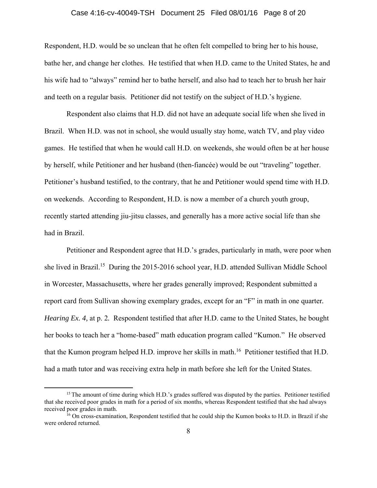### Case 4:16-cv-40049-TSH Document 25 Filed 08/01/16 Page 8 of 20

Respondent, H.D. would be so unclean that he often felt compelled to bring her to his house, bathe her, and change her clothes. He testified that when H.D. came to the United States, he and his wife had to "always" remind her to bathe herself, and also had to teach her to brush her hair and teeth on a regular basis. Petitioner did not testify on the subject of H.D.'s hygiene.

Respondent also claims that H.D. did not have an adequate social life when she lived in Brazil. When H.D. was not in school, she would usually stay home, watch TV, and play video games. He testified that when he would call H.D. on weekends, she would often be at her house by herself, while Petitioner and her husband (then-fiancée) would be out "traveling" together. Petitioner's husband testified, to the contrary, that he and Petitioner would spend time with H.D. on weekends. According to Respondent, H.D. is now a member of a church youth group, recently started attending jiu-jitsu classes, and generally has a more active social life than she had in Brazil.

Petitioner and Respondent agree that H.D.'s grades, particularly in math, were poor when she lived in Brazil.15 During the 2015-2016 school year, H.D. attended Sullivan Middle School in Worcester, Massachusetts, where her grades generally improved; Respondent submitted a report card from Sullivan showing exemplary grades, except for an "F" in math in one quarter*. Hearing Ex. 4, at p. 2.* Respondent testified that after H.D. came to the United States, he bought her books to teach her a "home-based" math education program called "Kumon." He observed that the Kumon program helped H.D. improve her skills in math.<sup>16</sup> Petitioner testified that H.D. had a math tutor and was receiving extra help in math before she left for the United States.

<sup>&</sup>lt;sup>15</sup> The amount of time during which H.D.'s grades suffered was disputed by the parties. Petitioner testified that she received poor grades in math for a period of six months, whereas Respondent testified that she had always received poor grades in math.

 $16$  On cross-examination, Respondent testified that he could ship the Kumon books to H.D. in Brazil if she were ordered returned.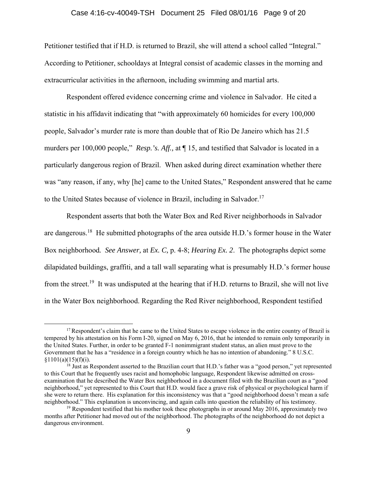### Case 4:16-cv-40049-TSH Document 25 Filed 08/01/16 Page 9 of 20

Petitioner testified that if H.D. is returned to Brazil, she will attend a school called "Integral." According to Petitioner, schooldays at Integral consist of academic classes in the morning and extracurricular activities in the afternoon, including swimming and martial arts.

 Respondent offered evidence concerning crime and violence in Salvador. He cited a statistic in his affidavit indicating that "with approximately 60 homicides for every 100,000 people, Salvador's murder rate is more than double that of Rio De Janeiro which has 21.5 murders per 100,000 people," *Resp.'s. Aff.,* at ¶ 15, and testified that Salvador is located in a particularly dangerous region of Brazil. When asked during direct examination whether there was "any reason, if any, why [he] came to the United States," Respondent answered that he came to the United States because of violence in Brazil, including in Salvador.<sup>17</sup>

Respondent asserts that both the Water Box and Red River neighborhoods in Salvador are dangerous.<sup>18</sup> He submitted photographs of the area outside H.D.'s former house in the Water Box neighborhood*. See Answer,* at *Ex. C,* p. 4-8; *Hearing Ex. 2*. The photographs depict some dilapidated buildings, graffiti, and a tall wall separating what is presumably H.D.'s former house from the street.<sup>19</sup> It was undisputed at the hearing that if H.D. returns to Brazil, she will not live in the Water Box neighborhood. Regarding the Red River neighborhood, Respondent testified

<sup>&</sup>lt;sup>17</sup> Respondent's claim that he came to the United States to escape violence in the entire country of Brazil is tempered by his attestation on his Form I-20, signed on May 6, 2016, that he intended to remain only temporarily in the United States. Further, in order to be granted F-1 nonimmigrant student status, an alien must prove to the Government that he has a "residence in a foreign country which he has no intention of abandoning." 8 U.S.C.  $$1101(a)(15)(f)(i).$ 

<sup>&</sup>lt;sup>18</sup> Just as Respondent asserted to the Brazilian court that H.D.'s father was a "good person," yet represented to this Court that he frequently uses racist and homophobic language, Respondent likewise admitted on crossexamination that he described the Water Box neighborhood in a document filed with the Brazilian court as a "good neighborhood," yet represented to this Court that H.D. would face a grave risk of physical or psychological harm if she were to return there. His explanation for this inconsistency was that a "good neighborhood doesn't mean a safe neighborhood." This explanation is unconvincing, and again calls into question the reliability of his testimony.

 $19$  Respondent testified that his mother took these photographs in or around May 2016, approximately two months after Petitioner had moved out of the neighborhood. The photographs of the neighborhood do not depict a dangerous environment.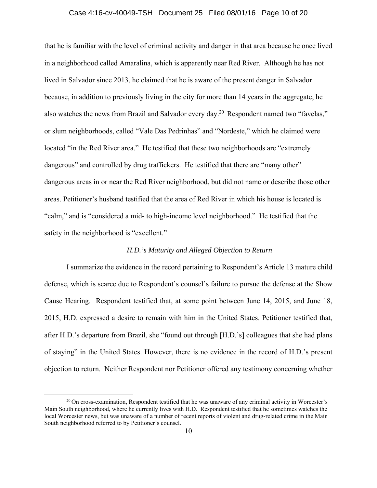### Case 4:16-cv-40049-TSH Document 25 Filed 08/01/16 Page 10 of 20

that he is familiar with the level of criminal activity and danger in that area because he once lived in a neighborhood called Amaralina, which is apparently near Red River. Although he has not lived in Salvador since 2013, he claimed that he is aware of the present danger in Salvador because, in addition to previously living in the city for more than 14 years in the aggregate, he also watches the news from Brazil and Salvador every day.<sup>20</sup> Respondent named two "favelas," or slum neighborhoods, called "Vale Das Pedrinhas" and "Nordeste," which he claimed were located "in the Red River area." He testified that these two neighborhoods are "extremely dangerous" and controlled by drug traffickers. He testified that there are "many other" dangerous areas in or near the Red River neighborhood, but did not name or describe those other areas. Petitioner's husband testified that the area of Red River in which his house is located is "calm," and is "considered a mid- to high-income level neighborhood." He testified that the safety in the neighborhood is "excellent."

## *H.D.'s Maturity and Alleged Objection to Return*

I summarize the evidence in the record pertaining to Respondent's Article 13 mature child defense, which is scarce due to Respondent's counsel's failure to pursue the defense at the Show Cause Hearing. Respondent testified that, at some point between June 14, 2015, and June 18, 2015, H.D. expressed a desire to remain with him in the United States. Petitioner testified that, after H.D.'s departure from Brazil, she "found out through [H.D.'s] colleagues that she had plans of staying" in the United States. However, there is no evidence in the record of H.D.'s present objection to return. Neither Respondent nor Petitioner offered any testimony concerning whether

 $20$  On cross-examination, Respondent testified that he was unaware of any criminal activity in Worcester's Main South neighborhood, where he currently lives with H.D. Respondent testified that he sometimes watches the local Worcester news, but was unaware of a number of recent reports of violent and drug-related crime in the Main South neighborhood referred to by Petitioner's counsel.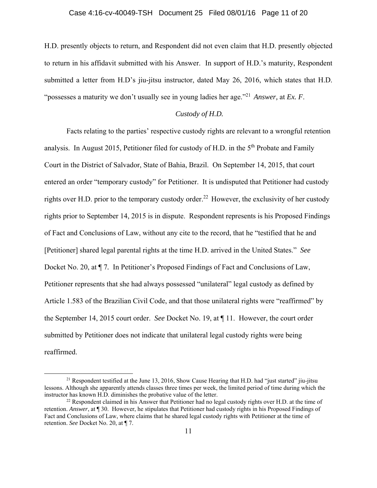H.D. presently objects to return, and Respondent did not even claim that H.D. presently objected to return in his affidavit submitted with his Answer. In support of H.D.'s maturity, Respondent submitted a letter from H.D's jiu-jitsu instructor, dated May 26, 2016, which states that H.D. "possesses a maturity we don't usually see in young ladies her age."21 *Answer,* at *Ex. F*.

### *Custody of H.D.*

Facts relating to the parties' respective custody rights are relevant to a wrongful retention analysis. In August 2015, Petitioner filed for custody of H.D. in the  $5<sup>th</sup>$  Probate and Family Court in the District of Salvador, State of Bahia, Brazil. On September 14, 2015, that court entered an order "temporary custody" for Petitioner. It is undisputed that Petitioner had custody rights over H.D. prior to the temporary custody order.<sup>22</sup> However, the exclusivity of her custody rights prior to September 14, 2015 is in dispute. Respondent represents is his Proposed Findings of Fact and Conclusions of Law, without any cite to the record, that he "testified that he and [Petitioner] shared legal parental rights at the time H.D. arrived in the United States." *See* Docket No. 20, at ¶ 7*.* In Petitioner's Proposed Findings of Fact and Conclusions of Law, Petitioner represents that she had always possessed "unilateral" legal custody as defined by Article 1.583 of the Brazilian Civil Code, and that those unilateral rights were "reaffirmed" by the September 14, 2015 court order. *See* Docket No. 19, at ¶ 11. However, the court order submitted by Petitioner does not indicate that unilateral legal custody rights were being reaffirmed.

<sup>&</sup>lt;sup>21</sup> Respondent testified at the June 13, 2016, Show Cause Hearing that H.D. had "just started" jiu-jitsu lessons. Although she apparently attends classes three times per week, the limited period of time during which the instructor has known H.D. diminishes the probative value of the letter.<br><sup>22</sup> Respondent claimed in his Answer that Petitioner had no legal custody rights over H.D. at the time of

retention. *Answer*, at ¶ 30. However, he stipulates that Petitioner had custody rights in his Proposed Findings of Fact and Conclusions of Law, where claims that he shared legal custody rights with Petitioner at the time of retention. *See* Docket No. 20, at ¶ 7.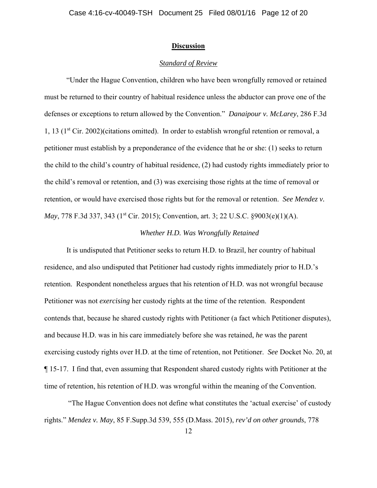#### **Discussion**

### *Standard of Review*

"Under the Hague Convention, children who have been wrongfully removed or retained must be returned to their country of habitual residence unless the abductor can prove one of the defenses or exceptions to return allowed by the Convention." *Danaipour v. McLarey*, 286 F.3d 1, 13 (1st Cir. 2002)(citations omitted). In order to establish wrongful retention or removal, a petitioner must establish by a preponderance of the evidence that he or she: (1) seeks to return the child to the child's country of habitual residence, (2) had custody rights immediately prior to the child's removal or retention, and (3) was exercising those rights at the time of removal or retention, or would have exercised those rights but for the removal or retention. *See Mendez v. May*, 778 F.3d 337, 343 (1<sup>st</sup> Cir. 2015); Convention, art. 3; 22 U.S.C. §9003(e)(1)(A).

## *Whether H.D. Was Wrongfully Retained*

It is undisputed that Petitioner seeks to return H.D. to Brazil, her country of habitual residence, and also undisputed that Petitioner had custody rights immediately prior to H.D.'s retention. Respondent nonetheless argues that his retention of H.D. was not wrongful because Petitioner was not *exercising* her custody rights at the time of the retention. Respondent contends that, because he shared custody rights with Petitioner (a fact which Petitioner disputes), and because H.D. was in his care immediately before she was retained, *he* was the parent exercising custody rights over H.D. at the time of retention, not Petitioner. *See* Docket No. 20, at ¶ 15-17. I find that, even assuming that Respondent shared custody rights with Petitioner at the time of retention, his retention of H.D. was wrongful within the meaning of the Convention.

 "The Hague Convention does not define what constitutes the 'actual exercise' of custody rights." *Mendez v. May*, 85 F.Supp.3d 539, 555 (D.Mass. 2015), *rev'd on other grounds*, 778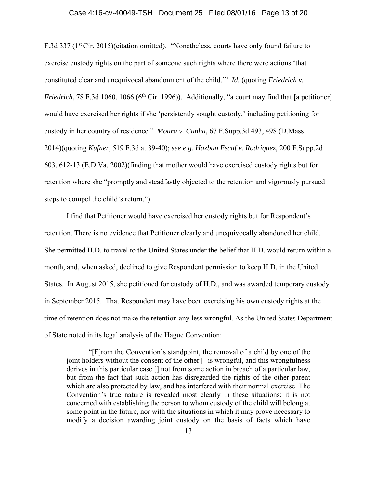#### Case 4:16-cv-40049-TSH Document 25 Filed 08/01/16 Page 13 of 20

F.3d 337 (1<sup>st</sup> Cir. 2015)(citation omitted). "Nonetheless, courts have only found failure to exercise custody rights on the part of someone such rights where there were actions 'that constituted clear and unequivocal abandonment of the child.'" *Id.* (quoting *Friedrich v. Friedrich*, 78 F.3d 1060, 1066 ( $6<sup>th</sup>$  Cir. 1996)). Additionally, "a court may find that [a petitioner] would have exercised her rights if she 'persistently sought custody,' including petitioning for custody in her country of residence." *Moura v. Cunha*, 67 F.Supp.3d 493, 498 (D.Mass. 2014)(quoting *Kufner,* 519 F.3d at 39-40); *see e.g. Hazbun Escaf v. Rodriquez*, 200 F.Supp.2d 603, 612-13 (E.D.Va. 2002)(finding that mother would have exercised custody rights but for retention where she "promptly and steadfastly objected to the retention and vigorously pursued steps to compel the child's return.")

I find that Petitioner would have exercised her custody rights but for Respondent's retention. There is no evidence that Petitioner clearly and unequivocally abandoned her child. She permitted H.D. to travel to the United States under the belief that H.D. would return within a month, and, when asked, declined to give Respondent permission to keep H.D. in the United States. In August 2015, she petitioned for custody of H.D., and was awarded temporary custody in September 2015. That Respondent may have been exercising his own custody rights at the time of retention does not make the retention any less wrongful. As the United States Department of State noted in its legal analysis of the Hague Convention:

"[F]rom the Convention's standpoint, the removal of a child by one of the joint holders without the consent of the other [] is wrongful, and this wrongfulness derives in this particular case [] not from some action in breach of a particular law, but from the fact that such action has disregarded the rights of the other parent which are also protected by law, and has interfered with their normal exercise. The Convention's true nature is revealed most clearly in these situations: it is not concerned with establishing the person to whom custody of the child will belong at some point in the future, nor with the situations in which it may prove necessary to modify a decision awarding joint custody on the basis of facts which have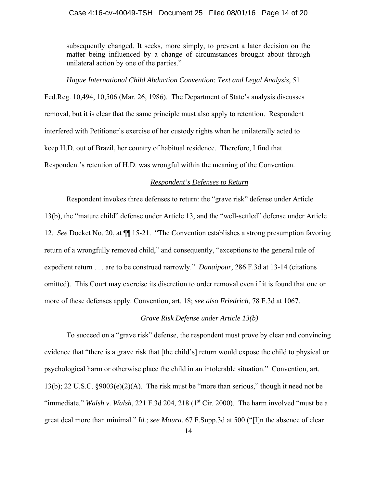### Case 4:16-cv-40049-TSH Document 25 Filed 08/01/16 Page 14 of 20

subsequently changed. It seeks, more simply, to prevent a later decision on the matter being influenced by a change of circumstances brought about through unilateral action by one of the parties."

#### *Hague International Child Abduction Convention: Text and Legal Analysis*, 51

Fed.Reg. 10,494, 10,506 (Mar. 26, 1986). The Department of State's analysis discusses removal, but it is clear that the same principle must also apply to retention. Respondent interfered with Petitioner's exercise of her custody rights when he unilaterally acted to keep H.D. out of Brazil, her country of habitual residence. Therefore, I find that Respondent's retention of H.D. was wrongful within the meaning of the Convention.

#### *Respondent's Defenses to Return*

Respondent invokes three defenses to return: the "grave risk" defense under Article 13(b), the "mature child" defense under Article 13, and the "well-settled" defense under Article 12. *See* Docket No. 20, at ¶¶ 15-21. "The Convention establishes a strong presumption favoring return of a wrongfully removed child," and consequently, "exceptions to the general rule of expedient return . . . are to be construed narrowly." *Danaipour*, 286 F.3d at 13-14 (citations omitted). This Court may exercise its discretion to order removal even if it is found that one or more of these defenses apply. Convention, art. 18; *see also Friedrich*, 78 F.3d at 1067.

## *Grave Risk Defense under Article 13(b)*

To succeed on a "grave risk" defense, the respondent must prove by clear and convincing evidence that "there is a grave risk that [the child's] return would expose the child to physical or psychological harm or otherwise place the child in an intolerable situation." Convention, art. 13(b); 22 U.S.C. §9003(e)(2)(A). The risk must be "more than serious," though it need not be "immediate." *Walsh v. Walsh*, 221 F.3d 204, 218 (1<sup>st</sup> Cir. 2000). The harm involved "must be a great deal more than minimal." *Id.*; *see Moura*, 67 F.Supp.3d at 500 ("[I]n the absence of clear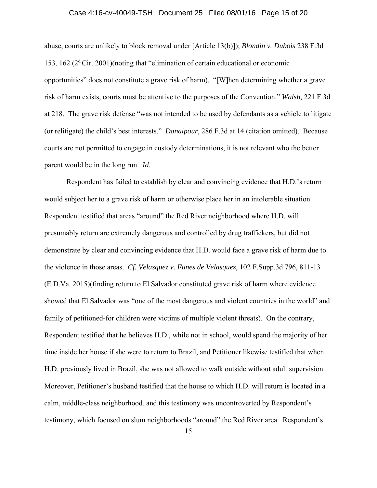#### Case 4:16-cv-40049-TSH Document 25 Filed 08/01/16 Page 15 of 20

abuse, courts are unlikely to block removal under [Article 13(b)]); *Blondin v. Dubois* 238 F.3d 153, 162 ( $2<sup>d</sup>$  Cir. 2001)(noting that "elimination of certain educational or economic opportunities" does not constitute a grave risk of harm). "[W]hen determining whether a grave risk of harm exists, courts must be attentive to the purposes of the Convention." *Walsh,* 221 F.3d at 218. The grave risk defense "was not intended to be used by defendants as a vehicle to litigate (or relitigate) the child's best interests." *Danaipour*, 286 F.3d at 14 (citation omitted). Because courts are not permitted to engage in custody determinations, it is not relevant who the better parent would be in the long run. *Id*.

Respondent has failed to establish by clear and convincing evidence that H.D.'s return would subject her to a grave risk of harm or otherwise place her in an intolerable situation. Respondent testified that areas "around" the Red River neighborhood where H.D. will presumably return are extremely dangerous and controlled by drug traffickers, but did not demonstrate by clear and convincing evidence that H.D. would face a grave risk of harm due to the violence in those areas. *Cf. Velasquez v. Funes de Velasquez*, 102 F.Supp.3d 796, 811-13 (E.D.Va. 2015)(finding return to El Salvador constituted grave risk of harm where evidence showed that El Salvador was "one of the most dangerous and violent countries in the world" and family of petitioned-for children were victims of multiple violent threats). On the contrary, Respondent testified that he believes H.D., while not in school, would spend the majority of her time inside her house if she were to return to Brazil, and Petitioner likewise testified that when H.D. previously lived in Brazil, she was not allowed to walk outside without adult supervision. Moreover, Petitioner's husband testified that the house to which H.D. will return is located in a calm, middle-class neighborhood, and this testimony was uncontroverted by Respondent's testimony, which focused on slum neighborhoods "around" the Red River area. Respondent's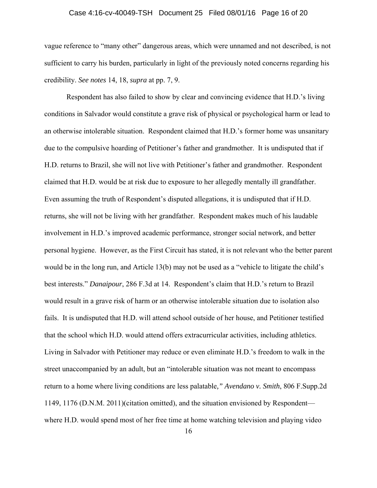### Case 4:16-cv-40049-TSH Document 25 Filed 08/01/16 Page 16 of 20

vague reference to "many other" dangerous areas, which were unnamed and not described, is not sufficient to carry his burden, particularly in light of the previously noted concerns regarding his credibility. *See notes* 14, 18, *supra* at pp. 7, 9.

Respondent has also failed to show by clear and convincing evidence that H.D.'s living conditions in Salvador would constitute a grave risk of physical or psychological harm or lead to an otherwise intolerable situation. Respondent claimed that H.D.'s former home was unsanitary due to the compulsive hoarding of Petitioner's father and grandmother. It is undisputed that if H.D. returns to Brazil, she will not live with Petitioner's father and grandmother. Respondent claimed that H.D. would be at risk due to exposure to her allegedly mentally ill grandfather. Even assuming the truth of Respondent's disputed allegations, it is undisputed that if H.D. returns, she will not be living with her grandfather. Respondent makes much of his laudable involvement in H.D.'s improved academic performance, stronger social network, and better personal hygiene. However, as the First Circuit has stated, it is not relevant who the better parent would be in the long run, and Article 13(b) may not be used as a "vehicle to litigate the child's best interests." *Danaipour*, 286 F.3d at 14. Respondent's claim that H.D.'s return to Brazil would result in a grave risk of harm or an otherwise intolerable situation due to isolation also fails. It is undisputed that H.D. will attend school outside of her house, and Petitioner testified that the school which H.D. would attend offers extracurricular activities, including athletics. Living in Salvador with Petitioner may reduce or even eliminate H.D.'s freedom to walk in the street unaccompanied by an adult, but an "intolerable situation was not meant to encompass return to a home where living conditions are less palatable*," Avendano v. Smith*, 806 F.Supp.2d 1149, 1176 (D.N.M. 2011)(citation omitted), and the situation envisioned by Respondent where H.D. would spend most of her free time at home watching television and playing video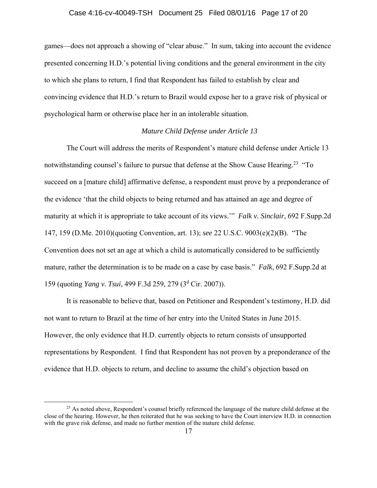### Case 4:16-cv-40049-TSH Document 25 Filed 08/01/16 Page 17 of 20

games—does not approach a showing of "clear abuse." In sum, taking into account the evidence presented concerning H.D.'s potential living conditions and the general environment in the city to which she plans to return, I find that Respondent has failed to establish by clear and convincing evidence that H.D.'s return to Brazil would expose her to a grave risk of physical or psychological harm or otherwise place her in an intolerable situation.

### *Mature Child Defense under Article 13*

The Court will address the merits of Respondent's mature child defense under Article 13 notwithstanding counsel's failure to pursue that defense at the Show Cause Hearing.<sup>23</sup> "To succeed on a [mature child] affirmative defense, a respondent must prove by a preponderance of the evidence 'that the child objects to being returned and has attained an age and degree of maturity at which it is appropriate to take account of its views.'" *Falk v. Sinclair*, 692 F.Supp.2d 147, 159 (D.Me. 2010)(quoting Convention, art. 13); *see* 22 U.S.C. 9003(e)(2)(B). "The Convention does not set an age at which a child is automatically considered to be sufficiently mature, rather the determination is to be made on a case by case basis." *Falk*, 692 F.Supp.2d at 159 (quoting *Yang v. Tsui*, 499 F.3d 259, 279 (3<sup>d</sup> Cir. 2007)).

 It is reasonable to believe that, based on Petitioner and Respondent's testimony, H.D. did not want to return to Brazil at the time of her entry into the United States in June 2015. However, the only evidence that H.D. currently objects to return consists of unsupported representations by Respondent. I find that Respondent has not proven by a preponderance of the evidence that H.D. objects to return, and decline to assume the child's objection based on

<sup>&</sup>lt;sup>23</sup> As noted above, Respondent's counsel briefly referenced the language of the mature child defense at the close of the hearing. However, he then reiterated that he was seeking to have the Court interview H.D. in connection with the grave risk defense, and made no further mention of the mature child defense.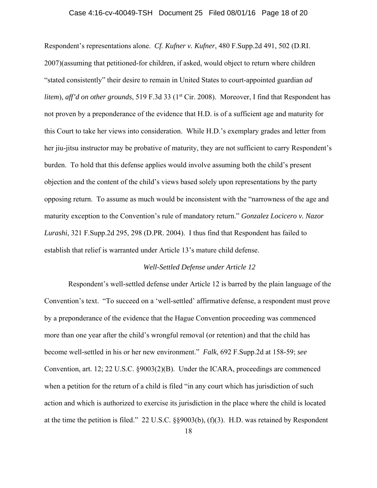### Case 4:16-cv-40049-TSH Document 25 Filed 08/01/16 Page 18 of 20

Respondent's representations alone. *Cf. Kufner v. Kufner*, 480 F.Supp.2d 491, 502 (D.RI. 2007)(assuming that petitioned-for children, if asked, would object to return where children "stated consistently" their desire to remain in United States to court-appointed guardian *ad litem*), *aff'd on other grounds*, 519 F.3d 33 (1<sup>st</sup> Cir. 2008). Moreover, I find that Respondent has not proven by a preponderance of the evidence that H.D. is of a sufficient age and maturity for this Court to take her views into consideration. While H.D.'s exemplary grades and letter from her jiu-jitsu instructor may be probative of maturity, they are not sufficient to carry Respondent's burden. To hold that this defense applies would involve assuming both the child's present objection and the content of the child's views based solely upon representations by the party opposing return. To assume as much would be inconsistent with the "narrowness of the age and maturity exception to the Convention's rule of mandatory return." *Gonzalez Locicero v. Nazor Lurashi*, 321 F.Supp.2d 295, 298 (D.PR. 2004). I thus find that Respondent has failed to establish that relief is warranted under Article 13's mature child defense.

#### *Well-Settled Defense under Article 12*

 Respondent's well-settled defense under Article 12 is barred by the plain language of the Convention's text. "To succeed on a 'well-settled' affirmative defense, a respondent must prove by a preponderance of the evidence that the Hague Convention proceeding was commenced more than one year after the child's wrongful removal (or retention) and that the child has become well-settled in his or her new environment." *Falk*, 692 F.Supp.2d at 158-59; *see* Convention, art. 12; 22 U.S.C. §9003(2)(B). Under the ICARA, proceedings are commenced when a petition for the return of a child is filed "in any court which has jurisdiction of such action and which is authorized to exercise its jurisdiction in the place where the child is located at the time the petition is filed." 22 U.S.C. §§9003(b), (f)(3). H.D. was retained by Respondent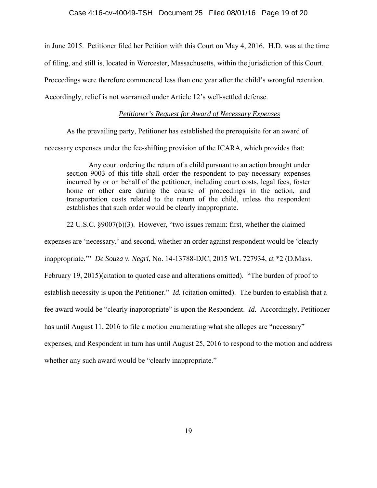in June 2015. Petitioner filed her Petition with this Court on May 4, 2016. H.D. was at the time of filing, and still is, located in Worcester, Massachusetts, within the jurisdiction of this Court. Proceedings were therefore commenced less than one year after the child's wrongful retention. Accordingly, relief is not warranted under Article 12's well-settled defense.

## *Petitioner's Request for Award of Necessary Expenses*

As the prevailing party, Petitioner has established the prerequisite for an award of necessary expenses under the fee-shifting provision of the ICARA, which provides that:

Any court ordering the return of a child pursuant to an action brought under section 9003 of this title shall order the respondent to pay necessary expenses incurred by or on behalf of the petitioner, including court costs, legal fees, foster home or other care during the course of proceedings in the action, and transportation costs related to the return of the child, unless the respondent establishes that such order would be clearly inappropriate.

22 U.S.C. §9007(b)(3). However, "two issues remain: first, whether the claimed

expenses are 'necessary,' and second, whether an order against respondent would be 'clearly

inappropriate.'" *De Souza v. Negri*, No. 14-13788-DJC; 2015 WL 727934, at \*2 (D.Mass.

February 19, 2015)(citation to quoted case and alterations omitted). "The burden of proof to

establish necessity is upon the Petitioner." *Id.* (citation omitted).The burden to establish that a

fee award would be "clearly inappropriate" is upon the Respondent. *Id.* Accordingly, Petitioner

has until August 11, 2016 to file a motion enumerating what she alleges are "necessary"

expenses, and Respondent in turn has until August 25, 2016 to respond to the motion and address whether any such award would be "clearly inappropriate."